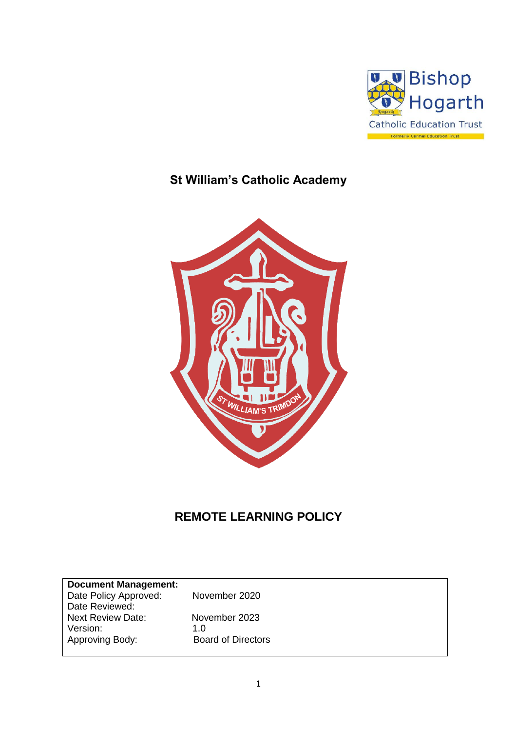

# **St William's Catholic Academy**



## **REMOTE LEARNING POLICY**

| <b>Document Management:</b> |                           |
|-----------------------------|---------------------------|
| Date Policy Approved:       | November 2020             |
|                             |                           |
| Date Reviewed:              |                           |
| <b>Next Review Date:</b>    | November 2023             |
| Version:                    | 1.0                       |
|                             |                           |
| Approving Body:             | <b>Board of Directors</b> |
|                             |                           |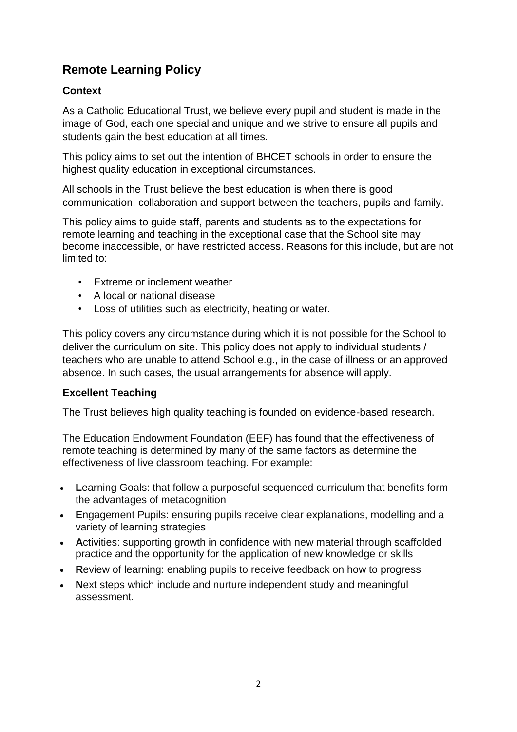## **Remote Learning Policy**

## **Context**

As a Catholic Educational Trust, we believe every pupil and student is made in the image of God, each one special and unique and we strive to ensure all pupils and students gain the best education at all times.

This policy aims to set out the intention of BHCET schools in order to ensure the highest quality education in exceptional circumstances.

All schools in the Trust believe the best education is when there is good communication, collaboration and support between the teachers, pupils and family.

This policy aims to guide staff, parents and students as to the expectations for remote learning and teaching in the exceptional case that the School site may become inaccessible, or have restricted access. Reasons for this include, but are not limited to:

- Extreme or inclement weather
- A local or national disease
- Loss of utilities such as electricity, heating or water.

This policy covers any circumstance during which it is not possible for the School to deliver the curriculum on site. This policy does not apply to individual students / teachers who are unable to attend School e.g., in the case of illness or an approved absence. In such cases, the usual arrangements for absence will apply.

## **Excellent Teaching**

The Trust believes high quality teaching is founded on evidence-based research.

The Education Endowment Foundation (EEF) has found that the effectiveness of remote teaching is determined by many of the same factors as determine the effectiveness of live classroom teaching. For example:

- **L**earning Goals: that follow a purposeful sequenced curriculum that benefits form the advantages of metacognition
- **E**ngagement Pupils: ensuring pupils receive clear explanations, modelling and a variety of learning strategies
- **A**ctivities: supporting growth in confidence with new material through scaffolded practice and the opportunity for the application of new knowledge or skills
- **R**eview of learning: enabling pupils to receive feedback on how to progress
- **N**ext steps which include and nurture independent study and meaningful assessment.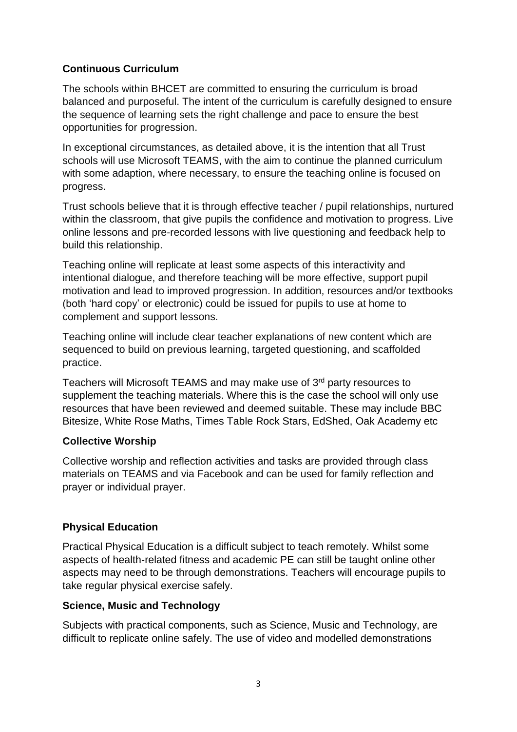## **Continuous Curriculum**

The schools within BHCET are committed to ensuring the curriculum is broad balanced and purposeful. The intent of the curriculum is carefully designed to ensure the sequence of learning sets the right challenge and pace to ensure the best opportunities for progression.

In exceptional circumstances, as detailed above, it is the intention that all Trust schools will use Microsoft TEAMS, with the aim to continue the planned curriculum with some adaption, where necessary, to ensure the teaching online is focused on progress.

Trust schools believe that it is through effective teacher / pupil relationships, nurtured within the classroom, that give pupils the confidence and motivation to progress. Live online lessons and pre-recorded lessons with live questioning and feedback help to build this relationship.

Teaching online will replicate at least some aspects of this interactivity and intentional dialogue, and therefore teaching will be more effective, support pupil motivation and lead to improved progression. In addition, resources and/or textbooks (both 'hard copy' or electronic) could be issued for pupils to use at home to complement and support lessons.

Teaching online will include clear teacher explanations of new content which are sequenced to build on previous learning, targeted questioning, and scaffolded practice.

Teachers will Microsoft TEAMS and may make use of 3<sup>rd</sup> party resources to supplement the teaching materials. Where this is the case the school will only use resources that have been reviewed and deemed suitable. These may include BBC Bitesize, White Rose Maths, Times Table Rock Stars, EdShed, Oak Academy etc

## **Collective Worship**

Collective worship and reflection activities and tasks are provided through class materials on TEAMS and via Facebook and can be used for family reflection and prayer or individual prayer.

## **Physical Education**

Practical Physical Education is a difficult subject to teach remotely. Whilst some aspects of health-related fitness and academic PE can still be taught online other aspects may need to be through demonstrations. Teachers will encourage pupils to take regular physical exercise safely.

#### **Science, Music and Technology**

Subjects with practical components, such as Science, Music and Technology, are difficult to replicate online safely. The use of video and modelled demonstrations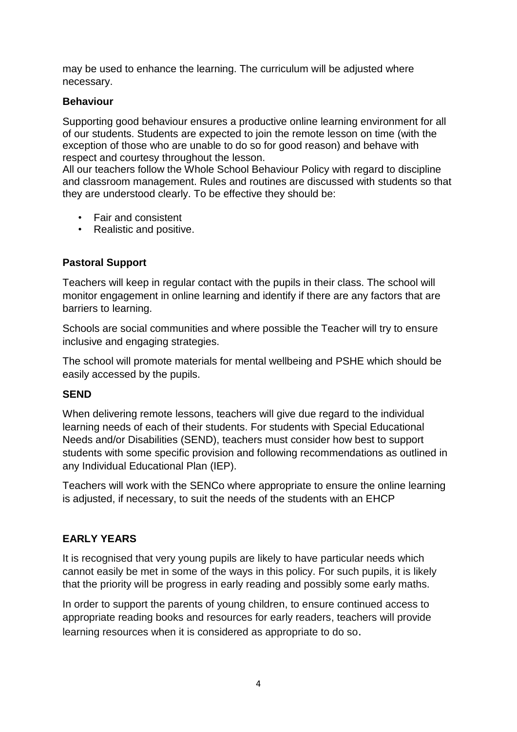may be used to enhance the learning. The curriculum will be adjusted where necessary.

## **Behaviour**

Supporting good behaviour ensures a productive online learning environment for all of our students. Students are expected to join the remote lesson on time (with the exception of those who are unable to do so for good reason) and behave with respect and courtesy throughout the lesson.

All our teachers follow the Whole School Behaviour Policy with regard to discipline and classroom management. Rules and routines are discussed with students so that they are understood clearly. To be effective they should be:

- Fair and consistent
- Realistic and positive.

## **Pastoral Support**

Teachers will keep in regular contact with the pupils in their class. The school will monitor engagement in online learning and identify if there are any factors that are barriers to learning.

Schools are social communities and where possible the Teacher will try to ensure inclusive and engaging strategies.

The school will promote materials for mental wellbeing and PSHE which should be easily accessed by the pupils.

## **SEND**

When delivering remote lessons, teachers will give due regard to the individual learning needs of each of their students. For students with Special Educational Needs and/or Disabilities (SEND), teachers must consider how best to support students with some specific provision and following recommendations as outlined in any Individual Educational Plan (IEP).

Teachers will work with the SENCo where appropriate to ensure the online learning is adjusted, if necessary, to suit the needs of the students with an EHCP

## **EARLY YEARS**

It is recognised that very young pupils are likely to have particular needs which cannot easily be met in some of the ways in this policy. For such pupils, it is likely that the priority will be progress in early reading and possibly some early maths.

In order to support the parents of young children, to ensure continued access to appropriate reading books and resources for early readers, teachers will provide learning resources when it is considered as appropriate to do so.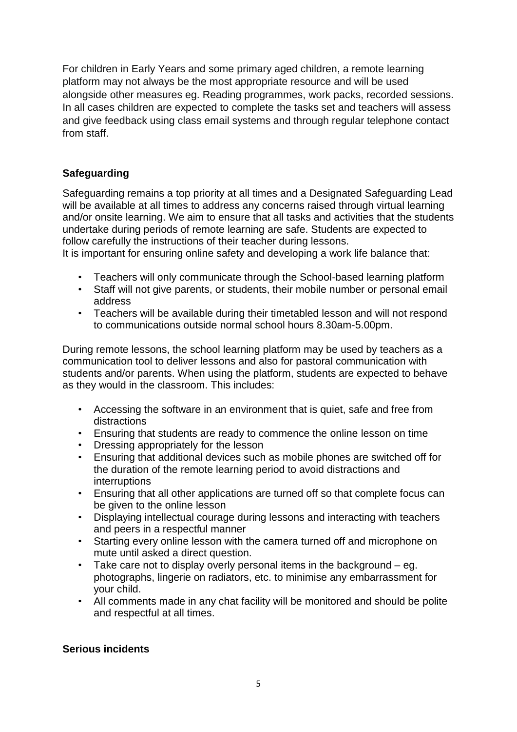For children in Early Years and some primary aged children, a remote learning platform may not always be the most appropriate resource and will be used alongside other measures eg. Reading programmes, work packs, recorded sessions. In all cases children are expected to complete the tasks set and teachers will assess and give feedback using class email systems and through regular telephone contact from staff.

## **Safeguarding**

Safeguarding remains a top priority at all times and a Designated Safeguarding Lead will be available at all times to address any concerns raised through virtual learning and/or onsite learning. We aim to ensure that all tasks and activities that the students undertake during periods of remote learning are safe. Students are expected to follow carefully the instructions of their teacher during lessons. It is important for ensuring online safety and developing a work life balance that:

- 
- Teachers will only communicate through the School-based learning platform • Staff will not give parents, or students, their mobile number or personal email address
- Teachers will be available during their timetabled lesson and will not respond to communications outside normal school hours 8.30am-5.00pm.

During remote lessons, the school learning platform may be used by teachers as a communication tool to deliver lessons and also for pastoral communication with students and/or parents. When using the platform, students are expected to behave as they would in the classroom. This includes:

- Accessing the software in an environment that is quiet, safe and free from distractions
- Ensuring that students are ready to commence the online lesson on time
- Dressing appropriately for the lesson
- Ensuring that additional devices such as mobile phones are switched off for the duration of the remote learning period to avoid distractions and **interruptions**
- Ensuring that all other applications are turned off so that complete focus can be given to the online lesson
- Displaying intellectual courage during lessons and interacting with teachers and peers in a respectful manner
- Starting every online lesson with the camera turned off and microphone on mute until asked a direct question.
- Take care not to display overly personal items in the background  $-$  eg. photographs, lingerie on radiators, etc. to minimise any embarrassment for your child.
- All comments made in any chat facility will be monitored and should be polite and respectful at all times.

## **Serious incidents**